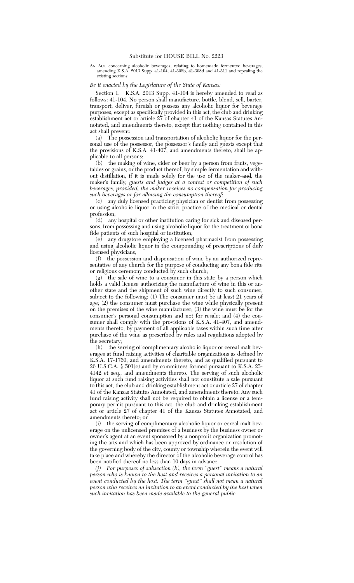AN ACT concerning alcoholic beverages; relating to homemade fermented beverages; amending K.S.A. 2013 Supp. 41-104, 41-308b, 41-308d and 41-311 and repealing the existing sections.

## *Be it enacted by the Legislature of the State of Kansas:*

Section 1. K.S.A. 2013 Supp. 41-104 is hereby amended to read as follows: 41-104. No person shall manufacture, bottle, blend, sell, barter, transport, deliver, furnish or possess any alcoholic liquor for beverage purposes, except as specifically provided in this act, the club and drinking establishment act or article 27 of chapter 41 of the Kansas Statutes Annotated, and amendments thereto, except that nothing contained in this act shall prevent:

(a) The possession and transportation of alcoholic liquor for the personal use of the possessor, the possessor's family and guests except that the provisions of K.S.A. 41-407, and amendments thereto, shall be applicable to all persons;

(b) the making of wine, cider or beer by a person from fruits, vegetables or grains, or the product thereof, by simple fermentation and without distillation, if it is made solely for the use of the maker-and, the maker's family*, guests and judges at a contest or competition of such beverages, provided, the maker receives no compensation for producing such beverages or for allowing the consumption thereof*;

(c) any duly licensed practicing physician or dentist from possessing or using alcoholic liquor in the strict practice of the medical or dental profession;

(d) any hospital or other institution caring for sick and diseased persons, from possessing and using alcoholic liquor for the treatment of bona fide patients of such hospital or institution;

 $(e)$  any drugstore employing a licensed pharmacist from possessing and using alcoholic liquor in the compounding of prescriptions of duly licensed physicians;

(f) the possession and dispensation of wine by an authorized representative of any church for the purpose of conducting any bona fide rite or religious ceremony conducted by such church;

(g) the sale of wine to a consumer in this state by a person which holds a valid license authorizing the manufacture of wine in this or another state and the shipment of such wine directly to such consumer, subject to the following: (1) The consumer must be at least 21 years of age; (2) the consumer must purchase the wine while physically present on the premises of the wine manufacturer; (3) the wine must be for the consumer's personal consumption and not for resale; and (4) the consumer shall comply with the provisions of K.S.A. 41-407, and amendments thereto, by payment of all applicable taxes within such time after purchase of the wine as prescribed by rules and regulations adopted by the secretary;

(h) the serving of complimentary alcoholic liquor or cereal malt beverages at fund raising activities of charitable organizations as defined by K.S.A. 17-1760, and amendments thereto, and as qualified pursuant to 26 U.S.C.A. § 501(c) and by committees formed pursuant to K.S.A. 25- 4142 et seq., and amendments thereto. The serving of such alcoholic liquor at such fund raising activities shall not constitute a sale pursuant to this act, the club and drinking establishment act or article 27 of chapter 41 of the Kansas Statutes Annotated, and amendments thereto. Any such fund raising activity shall not be required to obtain a license or a temporary permit pursuant to this act, the club and drinking establishment act or article  $\overline{27}$  of chapter 41 of the Kansas Statutes Annotated, and amendments thereto; or

(i) the serving of complimentary alcoholic liquor or cereal malt beverage on the unlicensed premises of a business by the business owner or owner's agent at an event sponsored by a nonprofit organization promoting the arts and which has been approved by ordinance or resolution of the governing body of the city, county or township wherein the event will take place and whereby the director of the alcoholic beverage control has been notified thereof no less than 10 days in advance.

*(j) For purposes of subsection (b), the term ''guest'' means a natural person who is known to the host and receives a personal invitation to an event conducted by the host. The term ''guest'' shall not mean a natural person who receives an invitation to an event conducted by the host when such invitation has been made available to the general public.*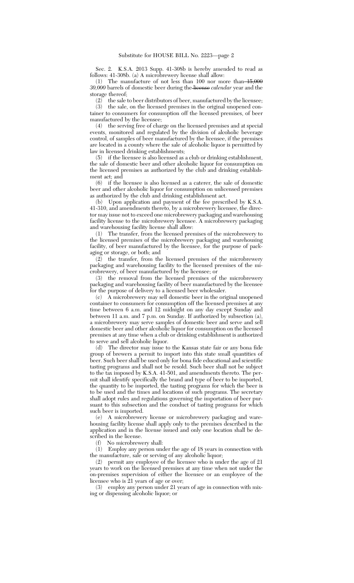Sec. 2. K.S.A. 2013 Supp. 41-308b is hereby amended to read as follows: 41-308b. (a) A microbrewery license shall allow:

(1) The manufacture of not less than 100 nor more than  $15,000$ *30,000* barrels of domestic beer during the license *calendar* year and the storage thereof;

 $(2)$  the sale to beer distributors of beer, manufactured by the licensee;

(3) the sale, on the licensed premises in the original unopened container to consumers for consumption off the licensed premises, of beer manufactured by the licensee;

(4) the serving free of charge on the licensed premises and at special events, monitored and regulated by the division of alcoholic beverage control, of samples of beer manufactured by the licensee, if the premises are located in a county where the sale of alcoholic liquor is permitted by law in licensed drinking establishments;

(5) if the licensee is also licensed as a club or drinking establishment, the sale of domestic beer and other alcoholic liquor for consumption on the licensed premises as authorized by the club and drinking establishment act; and

(6) if the licensee is also licensed as a caterer, the sale of domestic beer and other alcoholic liquor for consumption on unlicensed premises as authorized by the club and drinking establishment act.

(b) Upon application and payment of the fee prescribed by K.S.A. 41-310, and amendments thereto, by a microbrewery licensee, the director may issue not to exceed one microbrewery packaging and warehousing facility license to the microbrewery licensee. A microbrewery packaging and warehousing facility license shall allow:

(1) The transfer, from the licensed premises of the microbrewery to the licensed premises of the microbrewery packaging and warehousing facility, of beer manufactured by the licensee, for the purpose of packaging or storage, or both; and

 $\int_{0}^{\infty}$  (2) the transfer, from the licensed premises of the microbrewery packaging and warehousing facility to the licensed premises of the microbrewery, of beer manufactured by the licensee; or

(3) the removal from the licensed premises of the microbrewery packaging and warehousing facility of beer manufactured by the licensee for the purpose of delivery to a licensed beer wholesaler.

(c) A microbrewery may sell domestic beer in the original unopened container to consumers for consumption off the licensed premises at any time between 6 a.m. and 12 midnight on any day except Sunday and between 11 a.m. and 7 p.m. on Sunday. If authorized by subsection (a), a microbrewery may serve samples of domestic beer and serve and sell domestic beer and other alcoholic liquor for consumption on the licensed premises at any time when a club or drinking establishment is authorized to serve and sell alcoholic liquor.

(d) The director may issue to the Kansas state fair or any bona fide group of brewers a permit to import into this state small quantities of beer. Such beer shall be used only for bona fide educational and scientific tasting programs and shall not be resold. Such beer shall not be subject to the tax imposed by K.S.A. 41-501, and amendments thereto. The permit shall identify specifically the brand and type of beer to be imported, the quantity to be imported, the tasting programs for which the beer is to be used and the times and locations of such programs. The secretary shall adopt rules and regulations governing the importation of beer pursuant to this subsection and the conduct of tasting programs for which such beer is imported.

(e) A microbrewery license or microbrewery packaging and warehousing facility license shall apply only to the premises described in the application and in the license issued and only one location shall be described in the license.

(f) No microbrewery shall:

(1) Employ any person under the age of 18 years in connection with the manufacture, sale or serving of any alcoholic liquor;

(2) permit any employee of the licensee who is under the age of 21 years to work on the licensed premises at any time when not under the on-premises supervision of either the licensee or an employee of the licensee who is 21 years of age or over;

(3) employ any person under 21 years of age in connection with mixing or dispensing alcoholic liquor; or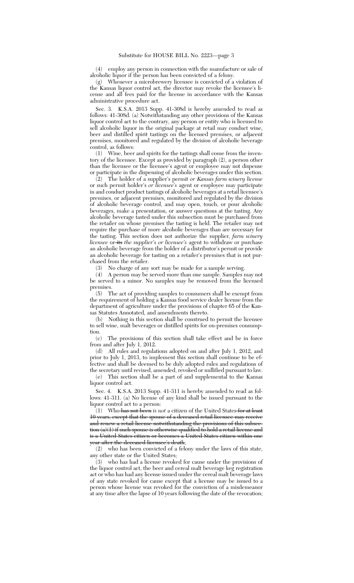(4) employ any person in connection with the manufacture or sale of alcoholic liquor if the person has been convicted of a felony.

(g) Whenever a microbrewery licensee is convicted of a violation of the Kansas liquor control act, the director may revoke the licensee's license and all fees paid for the license in accordance with the Kansas administrative procedure act.

Sec. 3. K.S.A. 2013 Supp. 41-308d is hereby amended to read as follows: 41-308d. (a) Notwithstanding any other provisions of the Kansas liquor control act to the contrary, any person or entity who is licensed to sell alcoholic liquor in the original package at retail may conduct wine, beer and distilled spirit tastings on the licensed premises, or adjacent premises, monitored and regulated by the division of alcoholic beverage control, as follows:

(1) Wine, beer and spirits for the tastings shall come from the inventory of the licensee. Except as provided by paragraph (2), a person other than the licensee or the licensee's agent or employee may not dispense or participate in the dispensing of alcoholic beverages under this section.

(2) The holder of a supplier's permit *or Kansas farm winery license* or such permit holder's *or licensee's* agent or employee may participate in and conduct product tastings of alcoholic beverages at a retail licensee's premises, or adjacent premises, monitored and regulated by the division of alcoholic beverage control, and may open, touch, or pour alcoholic beverages, make a presentation, or answer questions at the tasting. Any alcoholic beverage tasted under this subsection must be purchased from the retailer on whose premises the tasting is held. The retailer may not require the purchase of more alcoholic beverages than are necessary for the tasting. This section does not authorize the supplier*, farm winery licensee* or its *the supplier's or licensee's* agent to withdraw or purchase an alcoholic beverage from the holder of a distributor's permit or provide an alcoholic beverage for tasting on a retailer's premises that is not purchased from the retailer.

(3) No charge of any sort may be made for a sample serving.

(4) A person may be served more than one sample. Samples may not be served to a minor. No samples may be removed from the licensed premises.

(5) The act of providing samples to consumers shall be exempt from the requirement of holding a Kansas food service dealer license from the department of agriculture under the provisions of chapter 65 of the Kansas Statutes Annotated, and amendments thereto.

(b) Nothing in this section shall be construed to permit the licensee to sell wine, malt beverages or distilled spirits for on-premises consumption.

(c) The provisions of this section shall take effect and be in force from and after July 1, 2012.

(d) All rules and regulations adopted on and after July 1, 2012, and prior to July 1, 2013, to implement this section shall continue to be effective and shall be deemed to be duly adopted rules and regulations of the secretary until revised, amended, revoked or nullified pursuant to law.

(e) This section shall be a part of and supplemental to the Kansas liquor control act.

Sec. 4. K.S.A. 2013 Supp. 41-311 is hereby amended to read as follows: 41-311. (a) No license of any kind shall be issued pursuant to the liquor control act to a person:

(1) Who has not been *is not* a citizen of the United States for at least 10 years, except that the spouse of a deceased retail licensee may receive and renew a retail license notwithstanding the provisions of this subsection (a)(1) if such spouse is otherwise qualified to hold a retail license and is a United States citizen or becomes a United States citizen within one year after the deceased licensee's death;

(2) who has been convicted of a felony under the laws of this state, any other state or the United States;

(3) who has had a license revoked for cause under the provisions of the liquor control act, the beer and cereal malt beverage keg registration act or who has had any license issued under the cereal malt beverage laws of any state revoked for cause except that a license may be issued to a person whose license was revoked for the conviction of a misdemeanor at any time after the lapse of 10 years following the date of the revocation;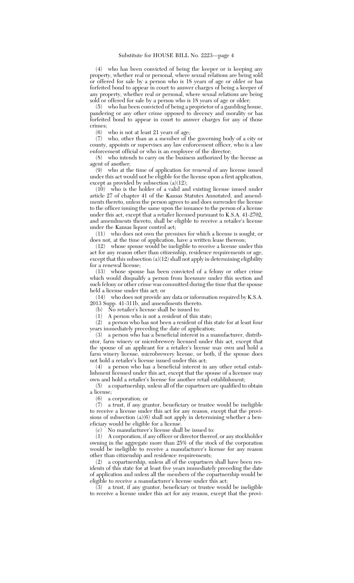(4) who has been convicted of being the keeper or is keeping any property, whether real or personal, where sexual relations are being sold or offered for sale by a person who is 18 years of age or older or has forfeited bond to appear in court to answer charges of being a keeper of any property, whether real or personal, where sexual relations are being sold or offered for sale by a person who is 18 years of age or older;

(5) who has been convicted of being a proprietor of a gambling house, pandering or any other crime opposed to decency and morality or has forfeited bond to appear in court to answer charges for any of those crimes;<br> $(6)$ 

who is not at least 21 years of age;

(7) who, other than as a member of the governing body of a city or county, appoints or supervises any law enforcement officer, who is a law enforcement official or who is an employee of the director;

(8) who intends to carry on the business authorized by the license as agent of another;

(9) who at the time of application for renewal of any license issued under this act would not be eligible for the license upon a first application, except as provided by subsection  $(a)(12)$ ;

(10) who is the holder of a valid and existing license issued under article 27 of chapter 41 of the Kansas Statutes Annotated, and amendments thereto, unless the person agrees to and does surrender the license to the officer issuing the same upon the issuance to the person of a license under this act, except that a retailer licensed pursuant to K.S.A. 41-2702, and amendments thereto, shall be eligible to receive a retailer's license under the Kansas liquor control act;

(11) who does not own the premises for which a license is sought, or does not, at the time of application, have a written lease thereon;

(12) whose spouse would be ineligible to receive a license under this act for any reason other than citizenship, residence requirements or age, except that this subsection  $(a)(12)$  shall not apply in determining eligibility for a renewal license;

(13) whose spouse has been convicted of a felony or other crime which would disqualify a person from licensure under this section and such felony or other crime was committed during the time that the spouse held a license under this act; or

(14) who does not provide any data or information required by K.S.A. 2013 Supp. 41-311b, and amendments thereto.

(b) No retailer's license shall be issued to:

(1) A person who is not a resident of this state;

(2) a person who has not been a resident of this state for at least four years immediately preceding the date of application;

(3) a person who has a beneficial interest in a manufacturer, distributor, farm winery or microbrewery licensed under this act, except that the spouse of an applicant for a retailer's license may own and hold a farm winery license, microbrewery license, or both, if the spouse does not hold a retailer's license issued under this act;

(4) a person who has a beneficial interest in any other retail establishment licensed under this act, except that the spouse of a licensee may own and hold a retailer's license for another retail establishment;

(5) a copartnership, unless all of the copartners are qualified to obtain a license;

(6) a corporation; or

(7) a trust, if any grantor, beneficiary or trustee would be ineligible to receive a license under this act for any reason, except that the provisions of subsection (a)(6) shall not apply in determining whether a beneficiary would be eligible for a license.

(c) No manufacturer's license shall be issued to:

(1) A corporation, if any officer or director thereof, or any stockholder owning in the aggregate more than 25% of the stock of the corporation would be ineligible to receive a manufacturer's license for any reason other than citizenship and residence requirements;

(2) a copartnership, unless all of the copartners shall have been residents of this state for at least five years immediately preceding the date of application and unless all the members of the copartnership would be eligible to receive a manufacturer's license under this act;

(3) a trust, if any grantor, beneficiary or trustee would be ineligible to receive a license under this act for any reason, except that the provi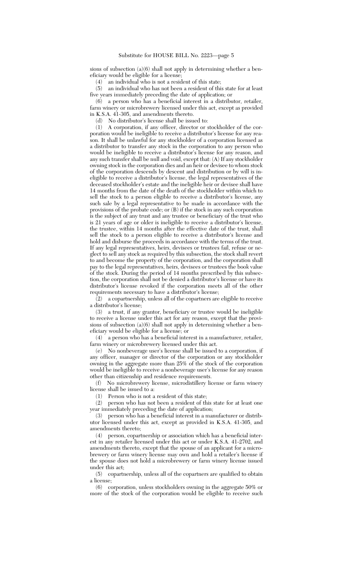sions of subsection (a)(6) shall not apply in determining whether a beneficiary would be eligible for a license;

(4) an individual who is not a resident of this state;

(5) an individual who has not been a resident of this state for at least five years immediately preceding the date of application; or

(6) a person who has a beneficial interest in a distributor, retailer, farm winery or microbrewery licensed under this act, except as provided in K.S.A. 41-305, and amendments thereto.

(d) No distributor's license shall be issued to:

(1) A corporation, if any officer, director or stockholder of the corporation would be ineligible to receive a distributor's license for any reason. It shall be unlawful for any stockholder of a corporation licensed as a distributor to transfer any stock in the corporation to any person who would be ineligible to receive a distributor's license for any reason, and any such transfer shall be null and void, except that: (A) If any stockholder owning stock in the corporation dies and an heir or devisee to whom stock of the corporation descends by descent and distribution or by will is ineligible to receive a distributor's license, the legal representatives of the deceased stockholder's estate and the ineligible heir or devisee shall have 14 months from the date of the death of the stockholder within which to sell the stock to a person eligible to receive a distributor's license, any such sale by a legal representative to be made in accordance with the provisions of the probate code; or (B) if the stock in any such corporation is the subject of any trust and any trustee or beneficiary of the trust who is 21 years of age or older is ineligible to receive a distributor's license, the trustee, within 14 months after the effective date of the trust, shall sell the stock to a person eligible to receive a distributor's license and hold and disburse the proceeds in accordance with the terms of the trust. If any legal representatives, heirs, devisees or trustees fail, refuse or neglect to sell any stock as required by this subsection, the stock shall revert to and become the property of the corporation, and the corporation shall pay to the legal representatives, heirs, devisees or trustees the book value of the stock. During the period of 14 months prescribed by this subsection, the corporation shall not be denied a distributor's license or have its distributor's license revoked if the corporation meets all of the other requirements necessary to have a distributor's license;

(2) a copartnership, unless all of the copartners are eligible to receive a distributor's license;

(3) a trust, if any grantor, beneficiary or trustee would be ineligible to receive a license under this act for any reason, except that the provisions of subsection (a)(6) shall not apply in determining whether a beneficiary would be eligible for a license; or

(4) a person who has a beneficial interest in a manufacturer, retailer, farm winery or microbrewery licensed under this act.

(e) No nonbeverage user's license shall be issued to a corporation, if any officer, manager or director of the corporation or any stockholder owning in the aggregate more than 25% of the stock of the corporation would be ineligible to receive a nonbeverage user's license for any reason other than citizenship and residence requirements.

(f) No microbrewery license, microdistillery license or farm winery license shall be issued to a:

(1) Person who is not a resident of this state;

(2) person who has not been a resident of this state for at least one year immediately preceding the date of application;

(3) person who has a beneficial interest in a manufacturer or distributor licensed under this act, except as provided in K.S.A. 41-305, and amendments thereto;

(4) person, copartnership or association which has a beneficial interest in any retailer licensed under this act or under K.S.A. 41-2702, and amendments thereto, except that the spouse of an applicant for a microbrewery or farm winery license may own and hold a retailer's license if the spouse does not hold a microbrewery or farm winery license issued under this act;

(5) copartnership, unless all of the copartners are qualified to obtain

a license;<br>(6) co corporation, unless stockholders owning in the aggregate 50% or more of the stock of the corporation would be eligible to receive such